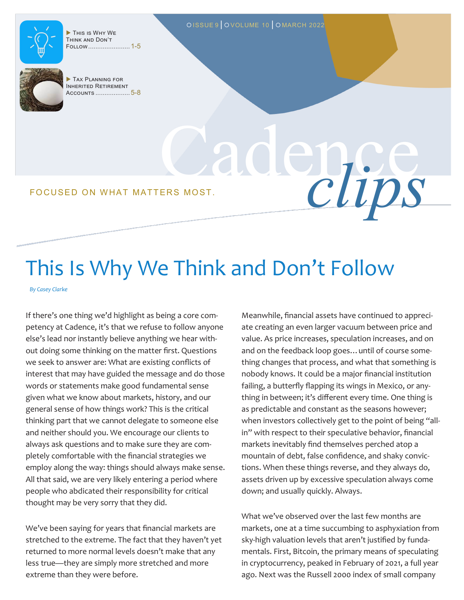

 This is Why We Think and Don't Follow....................... 1-5



Inherited Retirement Accounts ................... 5-8

Cadence FOCUSED ON WHAT MATTERS MOST.

## This Is Why We Think and Don't Follow

OISSUE 9 | OVOLUME 10 | OMARCH 2022

*By Casey Clarke*

If there's one thing we'd highlight as being a core competency at Cadence, it's that we refuse to follow anyone else's lead nor instantly believe anything we hear without doing some thinking on the matter first. Questions we seek to answer are: What are existing conflicts of interest that may have guided the message and do those words or statements make good fundamental sense given what we know about markets, history, and our general sense of how things work? This is the critical thinking part that we cannot delegate to someone else and neither should you. We encourage our clients to always ask questions and to make sure they are completely comfortable with the financial strategies we employ along the way: things should always make sense. All that said, we are very likely entering a period where people who abdicated their responsibility for critical thought may be very sorry that they did.

We've been saying for years that financial markets are stretched to the extreme. The fact that they haven't yet returned to more normal levels doesn't make that any less true—they are simply more stretched and more extreme than they were before.

Meanwhile, financial assets have continued to appreciate creating an even larger vacuum between price and value. As price increases, speculation increases, and on and on the feedback loop goes…until of course something changes that process, and what that something is nobody knows. It could be a major financial institution failing, a butterfly flapping its wings in Mexico, or anything in between; it's different every time. One thing is as predictable and constant as the seasons however; when investors collectively get to the point of being "allin" with respect to their speculative behavior, financial markets inevitably find themselves perched atop a mountain of debt, false confidence, and shaky convictions. When these things reverse, and they always do, assets driven up by excessive speculation always come down; and usually quickly. Always.

What we've observed over the last few months are markets, one at a time succumbing to asphyxiation from sky-high valuation levels that aren't justified by fundamentals. First, Bitcoin, the primary means of speculating in cryptocurrency, peaked in February of 2021, a full year ago. Next was the Russell 2000 index of small company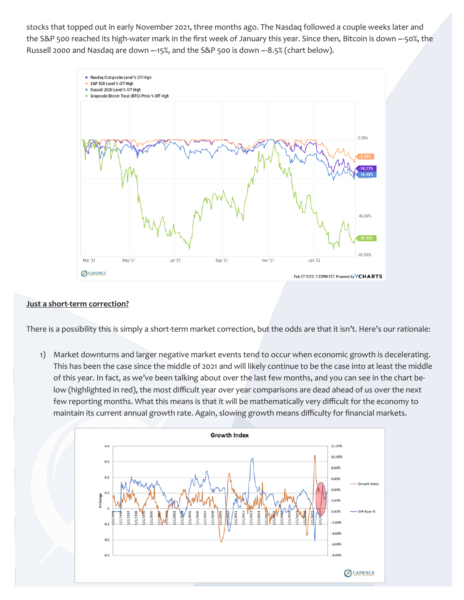stocks that topped out in early November 2021, three months ago. The Nasdaq followed a couple weeks later and the S&P 500 reached its high-water mark in the first week of January this year. Since then, Bitcoin is down ~-50%, the Russell 2000 and Nasdaq are down ~-15%, and the S&P 500 is down ~-8.5% (chart below).



#### **Just a short-term correction?**

There is a possibility this is simply a short-term market correction, but the odds are that it isn't. Here's our rationale:

1) Market downturns and larger negative market events tend to occur when economic growth is decelerating. This has been the case since the middle of 2021 and will likely continue to be the case into at least the middle of this year. In fact, as we've been talking about over the last few months, and you can see in the chart below (highlighted in red), the most difficult year over year comparisons are dead ahead of us over the next few reporting months. What this means is that it will be mathematically very difficult for the economy to maintain its current annual growth rate. Again, slowing growth means difficulty for financial markets.

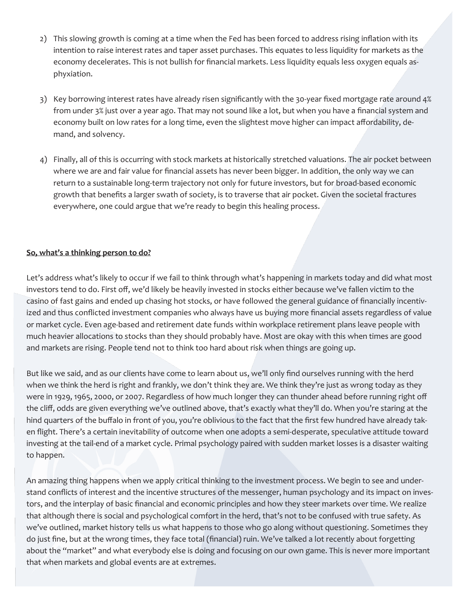- 2) This slowing growth is coming at a time when the Fed has been forced to address rising inflation with its intention to raise interest rates and taper asset purchases. This equates to less liquidity for markets as the economy decelerates. This is not bullish for financial markets. Less liquidity equals less oxygen equals asphyxiation.
- 3) Key borrowing interest rates have already risen significantly with the 30-year fixed mortgage rate around 4% from under 3% just over a year ago. That may not sound like a lot, but when you have a financial system and economy built on low rates for a long time, even the slightest move higher can impact affordability, demand, and solvency.
- 4) Finally, all of this is occurring with stock markets at historically stretched valuations. The air pocket between where we are and fair value for financial assets has never been bigger. In addition, the only way we can return to a sustainable long-term trajectory not only for future investors, but for broad-based economic growth that benefits a larger swath of society, is to traverse that air pocket. Given the societal fractures everywhere, one could argue that we're ready to begin this healing process.

#### **So, what's a thinking person to do?**

Let's address what's likely to occur if we fail to think through what's happening in markets today and did what most investors tend to do. First off, we'd likely be heavily invested in stocks either because we've fallen victim to the casino of fast gains and ended up chasing hot stocks, or have followed the general guidance of financially incentivized and thus conflicted investment companies who always have us buying more financial assets regardless of value or market cycle. Even age-based and retirement date funds within workplace retirement plans leave people with much heavier allocations to stocks than they should probably have. Most are okay with this when times are good and markets are rising. People tend not to think too hard about risk when things are going up.

But like we said, and as our clients have come to learn about us, we'll only find ourselves running with the herd when we think the herd is right and frankly, we don't think they are. We think they're just as wrong today as they were in 1929, 1965, 2000, or 2007. Regardless of how much longer they can thunder ahead before running right off the cliff, odds are given everything we've outlined above, that's exactly what they'll do. When you're staring at the hind quarters of the buffalo in front of you, you're oblivious to the fact that the first few hundred have already taken flight. There's a certain inevitability of outcome when one adopts a semi-desperate, speculative attitude toward investing at the tail-end of a market cycle. Primal psychology paired with sudden market losses is a disaster waiting to happen.

An amazing thing happens when we apply critical thinking to the investment process. We begin to see and understand conflicts of interest and the incentive structures of the messenger, human psychology and its impact on investors, and the interplay of basic financial and economic principles and how they steer markets over time. We realize that although there is social and psychological comfort in the herd, that's not to be confused with true safety. As we've outlined, market history tells us what happens to those who go along without questioning. Sometimes they do just fine, but at the wrong times, they face total (financial) ruin. We've talked a lot recently about forgetting about the "market" and what everybody else is doing and focusing on our own game. This is never more important that when markets and global events are at extremes.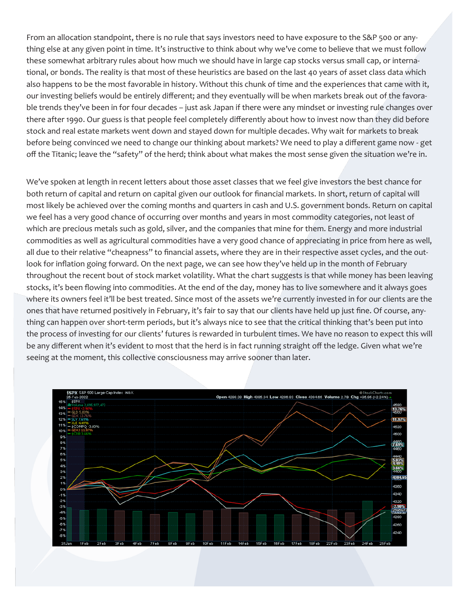From an allocation standpoint, there is no rule that says investors need to have exposure to the S&P 500 or anything else at any given point in time. It's instructive to think about why we've come to believe that we must follow these somewhat arbitrary rules about how much we should have in large cap stocks versus small cap, or international, or bonds. The reality is that most of these heuristics are based on the last 40 years of asset class data which also happens to be the most favorable in history. Without this chunk of time and the experiences that came with it, our investing beliefs would be entirely different; and they eventually will be when markets break out of the favorable trends they've been in for four decades – just ask Japan if there were any mindset or investing rule changes over there after 1990. Our guess is that people feel completely differently about how to invest now than they did before stock and real estate markets went down and stayed down for multiple decades. Why wait for markets to break before being convinced we need to change our thinking about markets? We need to play a different game now - get off the Titanic; leave the "safety" of the herd; think about what makes the most sense given the situation we're in.

We've spoken at length in recent letters about those asset classes that we feel give investors the best chance for both return of capital and return on capital given our outlook for financial markets. In short, return of capital will most likely be achieved over the coming months and quarters in cash and U.S. government bonds. Return on capital we feel has a very good chance of occurring over months and years in most commodity categories, not least of which are precious metals such as gold, silver, and the companies that mine for them. Energy and more industrial commodities as well as agricultural commodities have a very good chance of appreciating in price from here as well, all due to their relative "cheapness" to financial assets, where they are in their respective asset cycles, and the outlook for inflation going forward. On the next page, we can see how they've held up in the month of February throughout the recent bout of stock market volatility. What the chart suggests is that while money has been leaving stocks, it's been flowing into commodities. At the end of the day, money has to live somewhere and it always goes where its owners feel it'll be best treated. Since most of the assets we're currently invested in for our clients are the ones that have returned positively in February, it's fair to say that our clients have held up just fine. Of course, anything can happen over short-term periods, but it's always nice to see that the critical thinking that's been put into the process of investing for our clients' futures is rewarded in turbulent times. We have no reason to expect this will be any different when it's evident to most that the herd is in fact running straight off the ledge. Given what we're seeing at the moment, this collective consciousness may arrive sooner than later.

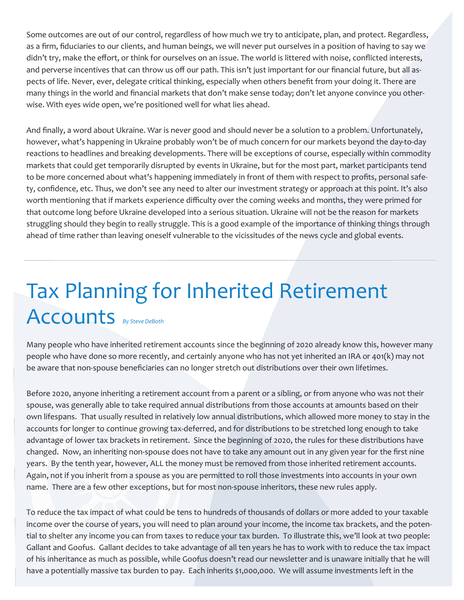Some outcomes are out of our control, regardless of how much we try to anticipate, plan, and protect. Regardless, as a firm, fiduciaries to our clients, and human beings, we will never put ourselves in a position of having to say we didn't try, make the effort, or think for ourselves on an issue. The world is littered with noise, conflicted interests, and perverse incentives that can throw us off our path. This isn't just important for our financial future, but all aspects of life. Never, ever, delegate critical thinking, especially when others benefit from your doing it. There are many things in the world and financial markets that don't make sense today; don't let anyone convince you otherwise. With eyes wide open, we're positioned well for what lies ahead.

And finally, a word about Ukraine. War is never good and should never be a solution to a problem. Unfortunately, however, what's happening in Ukraine probably won't be of much concern for our markets beyond the day-to-day reactions to headlines and breaking developments. There will be exceptions of course, especially within commodity markets that could get temporarily disrupted by events in Ukraine, but for the most part, market participants tend to be more concerned about what's happening immediately in front of them with respect to profits, personal safety, confidence, etc. Thus, we don't see any need to alter our investment strategy or approach at this point. It's also worth mentioning that if markets experience difficulty over the coming weeks and months, they were primed for that outcome long before Ukraine developed into a serious situation. Ukraine will not be the reason for markets struggling should they begin to really struggle. This is a good example of the importance of thinking things through ahead of time rather than leaving oneself vulnerable to the vicissitudes of the news cycle and global events.

# Tax Planning for Inherited Retirement Accounts *By Steve DeBoth*

Many people who have inherited retirement accounts since the beginning of 2020 already know this, however many people who have done so more recently, and certainly anyone who has not yet inherited an IRA or 401(k) may not be aware that non-spouse beneficiaries can no longer stretch out distributions over their own lifetimes.

Before 2020, anyone inheriting a retirement account from a parent or a sibling, or from anyone who was not their spouse, was generally able to take required annual distributions from those accounts at amounts based on their own lifespans. That usually resulted in relatively low annual distributions, which allowed more money to stay in the accounts for longer to continue growing tax-deferred, and for distributions to be stretched long enough to take advantage of lower tax brackets in retirement. Since the beginning of 2020, the rules for these distributions have changed. Now, an inheriting non-spouse does not have to take any amount out in any given year for the first nine years. By the tenth year, however, ALL the money must be removed from those inherited retirement accounts. Again, not if you inherit from a spouse as you are permitted to roll those investments into accounts in your own name. There are a few other exceptions, but for most non-spouse inheritors, these new rules apply.

To reduce the tax impact of what could be tens to hundreds of thousands of dollars or more added to your taxable income over the course of years, you will need to plan around your income, the income tax brackets, and the potential to shelter any income you can from taxes to reduce your tax burden. To illustrate this, we'll look at two people: Gallant and Goofus. Gallant decides to take advantage of all ten years he has to work with to reduce the tax impact of his inheritance as much as possible, while Goofus doesn't read our newsletter and is unaware initially that he will have a potentially massive tax burden to pay. Each inherits \$1,000,000. We will assume investments left in the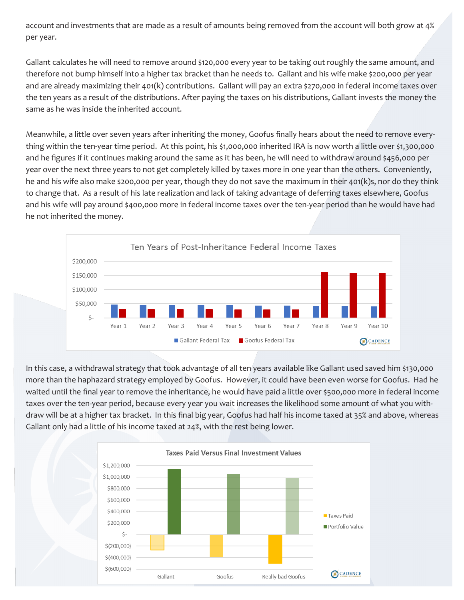account and investments that are made as a result of amounts being removed from the account will both grow at 4% per year.

Gallant calculates he will need to remove around \$120,000 every year to be taking out roughly the same amount, and therefore not bump himself into a higher tax bracket than he needs to. Gallant and his wife make \$200,000 per year and are already maximizing their 401(k) contributions. Gallant will pay an extra \$270,000 in federal income taxes over the ten years as a result of the distributions. After paying the taxes on his distributions, Gallant invests the money the same as he was inside the inherited account.

Meanwhile, a little over seven years after inheriting the money, Goofus finally hears about the need to remove everything within the ten-year time period. At this point, his \$1,000,000 inherited IRA is now worth a little over \$1,300,000 and he figures if it continues making around the same as it has been, he will need to withdraw around \$456,000 per year over the next three years to not get completely killed by taxes more in one year than the others. Conveniently, he and his wife also make \$200,000 per year, though they do not save the maximum in their 401(k)s, nor do they think to change that. As a result of his late realization and lack of taking advantage of deferring taxes elsewhere, Goofus and his wife will pay around \$400,000 more in federal income taxes over the ten-year period than he would have had he not inherited the money.



In this case, a withdrawal strategy that took advantage of all ten years available like Gallant used saved him \$130,000 more than the haphazard strategy employed by Goofus. However, it could have been even worse for Goofus. Had he waited until the final year to remove the inheritance, he would have paid a little over \$500,000 more in federal income taxes over the ten-year period, because every year you wait increases the likelihood some amount of what you withdraw will be at a higher tax bracket. In this final big year, Goofus had half his income taxed at 35% and above, whereas Gallant only had a little of his income taxed at 24%, with the rest being lower.

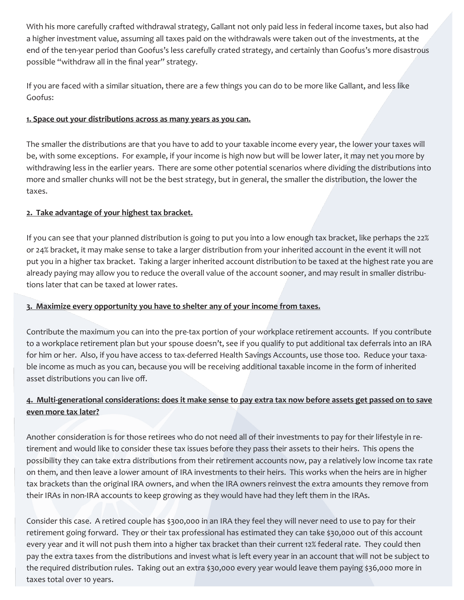With his more carefully crafted withdrawal strategy, Gallant not only paid less in federal income taxes, but also had a higher investment value, assuming all taxes paid on the withdrawals were taken out of the investments, at the end of the ten-year period than Goofus's less carefully crated strategy, and certainly than Goofus's more disastrous possible "withdraw all in the final year" strategy.

If you are faced with a similar situation, there are a few things you can do to be more like Gallant, and less like Goofus:

#### **1. Space out your distributions across as many years as you can.**

The smaller the distributions are that you have to add to your taxable income every year, the lower your taxes will be, with some exceptions. For example, if your income is high now but will be lower later, it may net you more by withdrawing less in the earlier years. There are some other potential scenarios where dividing the distributions into more and smaller chunks will not be the best strategy, but in general, the smaller the distribution, the lower the taxes.

#### **2. Take advantage of your highest tax bracket.**

If you can see that your planned distribution is going to put you into a low enough tax bracket, like perhaps the 22% or 24% bracket, it may make sense to take a larger distribution from your inherited account in the event it will not put you in a higher tax bracket. Taking a larger inherited account distribution to be taxed at the highest rate you are already paying may allow you to reduce the overall value of the account sooner, and may result in smaller distributions later that can be taxed at lower rates.

#### **3. Maximize every opportunity you have to shelter any of your income from taxes.**

Contribute the maximum you can into the pre-tax portion of your workplace retirement accounts. If you contribute to a workplace retirement plan but your spouse doesn't, see if you qualify to put additional tax deferrals into an IRA for him or her. Also, if you have access to tax-deferred Health Savings Accounts, use those too. Reduce your taxable income as much as you can, because you will be receiving additional taxable income in the form of inherited asset distributions you can live off.

### **4. Multi-generational considerations: does it make sense to pay extra tax now before assets get passed on to save even more tax later?**

Another consideration is for those retirees who do not need all of their investments to pay for their lifestyle in retirement and would like to consider these tax issues before they pass their assets to their heirs. This opens the possibility they can take extra distributions from their retirement accounts now, pay a relatively low income tax rate on them, and then leave a lower amount of IRA investments to their heirs. This works when the heirs are in higher tax brackets than the original IRA owners, and when the IRA owners reinvest the extra amounts they remove from their IRAs in non-IRA accounts to keep growing as they would have had they left them in the IRAs.

Consider this case. A retired couple has \$300,000 in an IRA they feel they will never need to use to pay for their retirement going forward. They or their tax professional has estimated they can take \$30,000 out of this account every year and it will not push them into a higher tax bracket than their current 12% federal rate. They could then pay the extra taxes from the distributions and invest what is left every year in an account that will not be subject to the required distribution rules. Taking out an extra \$30,000 every year would leave them paying \$36,000 more in taxes total over 10 years.